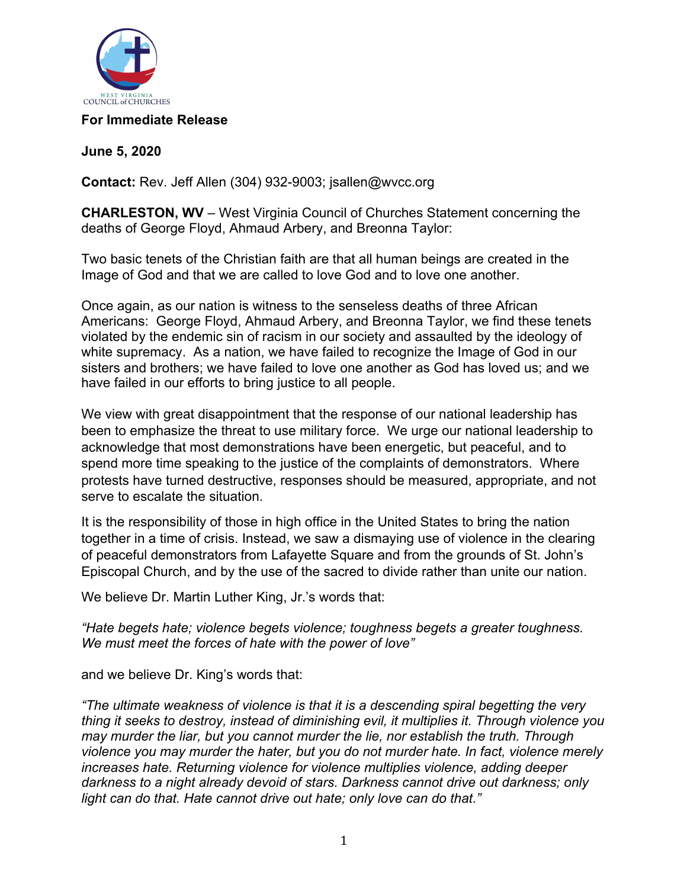

## **For Immediate Release**

**June 5, 2020**

**Contact:** Rev. Jeff Allen (304) 932-9003; jsallen@wvcc.org

**CHARLESTON, WV** – West Virginia Council of Churches Statement concerning the deaths of George Floyd, Ahmaud Arbery, and Breonna Taylor:

Two basic tenets of the Christian faith are that all human beings are created in the Image of God and that we are called to love God and to love one another.

Once again, as our nation is witness to the senseless deaths of three African Americans: George Floyd, Ahmaud Arbery, and Breonna Taylor, we find these tenets violated by the endemic sin of racism in our society and assaulted by the ideology of white supremacy. As a nation, we have failed to recognize the Image of God in our sisters and brothers; we have failed to love one another as God has loved us; and we have failed in our efforts to bring justice to all people.

We view with great disappointment that the response of our national leadership has been to emphasize the threat to use military force. We urge our national leadership to acknowledge that most demonstrations have been energetic, but peaceful, and to spend more time speaking to the justice of the complaints of demonstrators. Where protests have turned destructive, responses should be measured, appropriate, and not serve to escalate the situation.

It is the responsibility of those in high office in the United States to bring the nation together in a time of crisis. Instead, we saw a dismaying use of violence in the clearing of peaceful demonstrators from Lafayette Square and from the grounds of St. John's Episcopal Church, and by the use of the sacred to divide rather than unite our nation.

We believe Dr. Martin Luther King, Jr.'s words that:

*"Hate begets hate; violence begets violence; toughness begets a greater toughness. We must meet the forces of hate with the power of love"*

and we believe Dr. King's words that:

*"The ultimate weakness of violence is that it is a descending spiral begetting the very thing it seeks to destroy, instead of diminishing evil, it multiplies it. Through violence you may murder the liar, but you cannot murder the lie, nor establish the truth. Through violence you may murder the hater, but you do not murder hate. In fact, violence merely increases hate. Returning violence for violence multiplies violence, adding deeper darkness to a night already devoid of stars. Darkness cannot drive out darkness; only light can do that. Hate cannot drive out hate; only love can do that."*